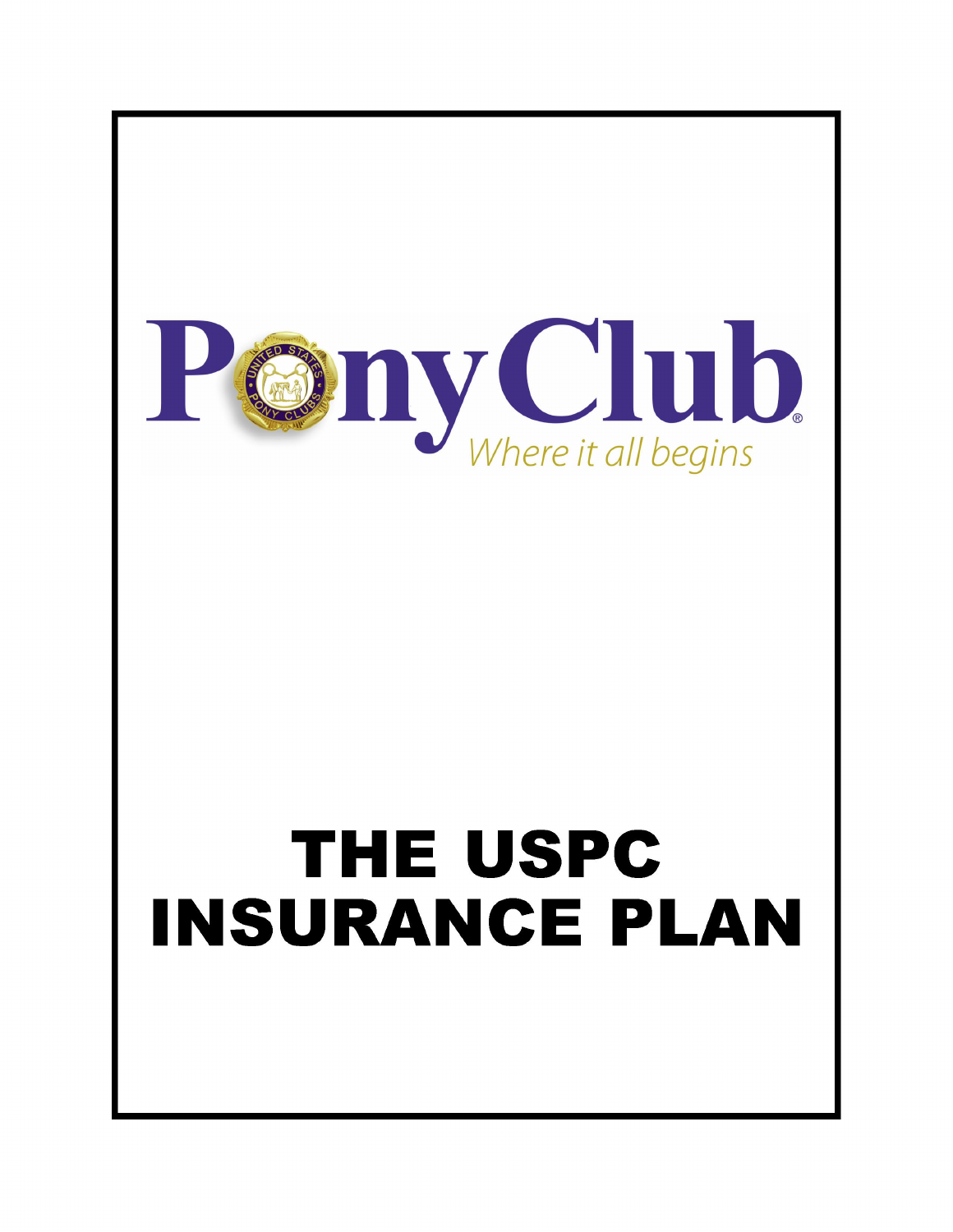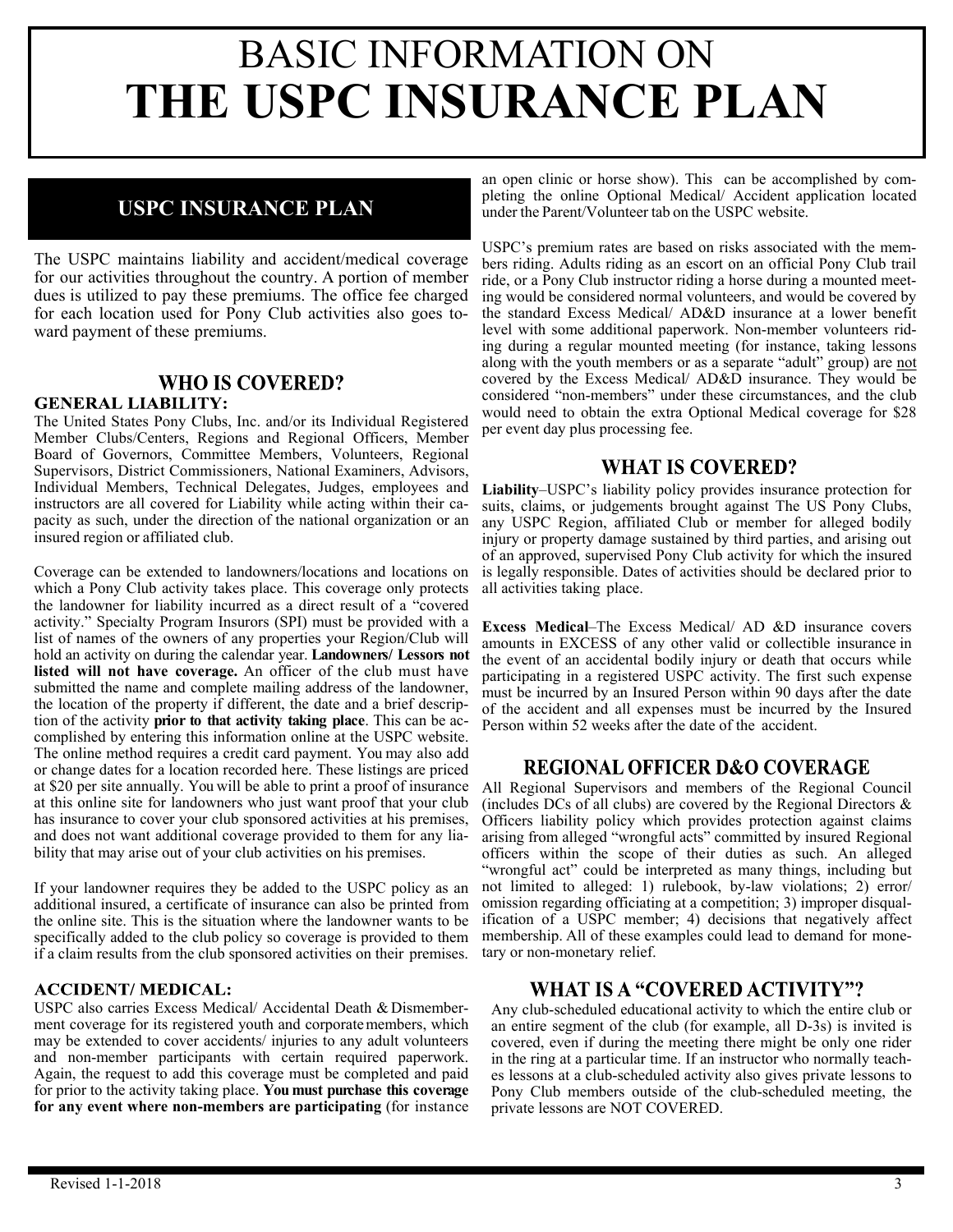## **USPC INSURANCE PLAN**

The USPC maintains liability and accident/medical coverage for our activities throughout the country. A portion of member dues is utilized to pay these premiums. The office fee charged for each location used for Pony Club activities also goes toward payment of these premiums.

#### **WHO IS COVERED?**

#### **GENERAL LIABILITY:**

The United States Pony Clubs, Inc. and/or its Individual Registered Member Clubs/Centers, Regions and Regional Officers, Member Board of Governors, Committee Members, Volunteers, Regional Supervisors, District Commissioners, National Examiners, Advisors, Individual Members, Technical Delegates, Judges, employees and instructors are all covered for Liability while acting within their capacity as such, under the direction of the national organization or an insured region or affiliated club.

Coverage can be extended to landowners/locations and locations on which a Pony Club activity takes place. This coverage only protects the landowner for liability incurred as a direct result of a "covered activity." Specialty Program Insurors (SPI) must be provided with a list of names of the owners of any properties your Region/Club will hold an activity on during the calendar year. **Landowners/ Lessors not listed will not have coverage.** An officer of the club must have submitted the name and complete mailing address of the landowner, the location of the property if different, the date and a brief description of the activity **prior to that activity taking place**. This can be accomplished by entering this information online at the USPC website. The online method requires a credit card payment. You may also add or change dates for a location recorded here. These listings are priced at \$20 per site annually. You will be able to print a proof of insurance at this online site for landowners who just want proof that your club has insurance to cover your club sponsored activities at his premises, and does not want additional coverage provided to them for any liability that may arise out of your club activities on his premises.

If your landowner requires they be added to the USPC policy as an additional insured, a certificate of insurance can also be printed from the online site. This is the situation where the landowner wants to be specifically added to the club policy so coverage is provided to them if a claim results from the club sponsored activities on their premises.

#### **ACCIDENT/ MEDICAL:**

USPC also carries Excess Medical/ Accidental Death & Dismemberment coverage for its registered youth and corporatemembers, which may be extended to cover accidents/ injuries to any adult volunteers and non-member participants with certain required paperwork. Again, the request to add this coverage must be completed and paid for prior to the activity taking place. **You must purchase this coverage for any event where non-members are participating** (for instance

an open clinic or horse show). This can be accomplished by completing the online Optional Medical/ Accident application located under the Parent/Volunteer tab on the USPC website.

USPC's premium rates are based on risks associated with the members riding. Adults riding as an escort on an official Pony Club trail ride, or a Pony Club instructor riding a horse during a mounted meeting would be considered normal volunteers, and would be covered by the standard Excess Medical/ AD&D insurance at a lower benefit level with some additional paperwork. Non-member volunteers riding during a regular mounted meeting (for instance, taking lessons along with the youth members or as a separate "adult" group) are not covered by the Excess Medical/ AD&D insurance. They would be considered "non-members" under these circumstances, and the club would need to obtain the extra Optional Medical coverage for \$28 per event day plus processing fee.

#### **WHAT IS COVERED?**

**Liability**–USPC's liability policy provides insurance protection for suits, claims, or judgements brought against The US Pony Clubs, any USPC Region, affiliated Club or member for alleged bodily injury or property damage sustained by third parties, and arising out of an approved, supervised Pony Club activity for which the insured is legally responsible. Dates of activities should be declared prior to all activities taking place.

**Excess Medical**–The Excess Medical/ AD &D insurance covers amounts in EXCESS of any other valid or collectible insurance in the event of an accidental bodily injury or death that occurs while participating in a registered USPC activity. The first such expense must be incurred by an Insured Person within 90 days after the date of the accident and all expenses must be incurred by the Insured Person within 52 weeks after the date of the accident.

#### **REGIONAL OFFICER D&O COVERAGE**

All Regional Supervisors and members of the Regional Council (includes DCs of all clubs) are covered by the Regional Directors  $\&$ Officers liability policy which provides protection against claims arising from alleged "wrongful acts" committed by insured Regional officers within the scope of their duties as such. An alleged "wrongful act" could be interpreted as many things, including but not limited to alleged: 1) rulebook, by-law violations; 2) error/ omission regarding officiating at a competition; 3) improper disqualification of a USPC member; 4) decisions that negatively affect membership. All of these examples could lead to demand for monetary or non-monetary relief.

#### WHAT IS A "COVERED ACTIVITY"?

Any club-scheduled educational activity to which the entire club or an entire segment of the club (for example, all D-3s) is invited is covered, even if during the meeting there might be only one rider in the ring at a particular time. If an instructor who normally teaches lessons at a club-scheduled activity also gives private lessons to Pony Club members outside of the club-scheduled meeting, the private lessons are NOT COVERED.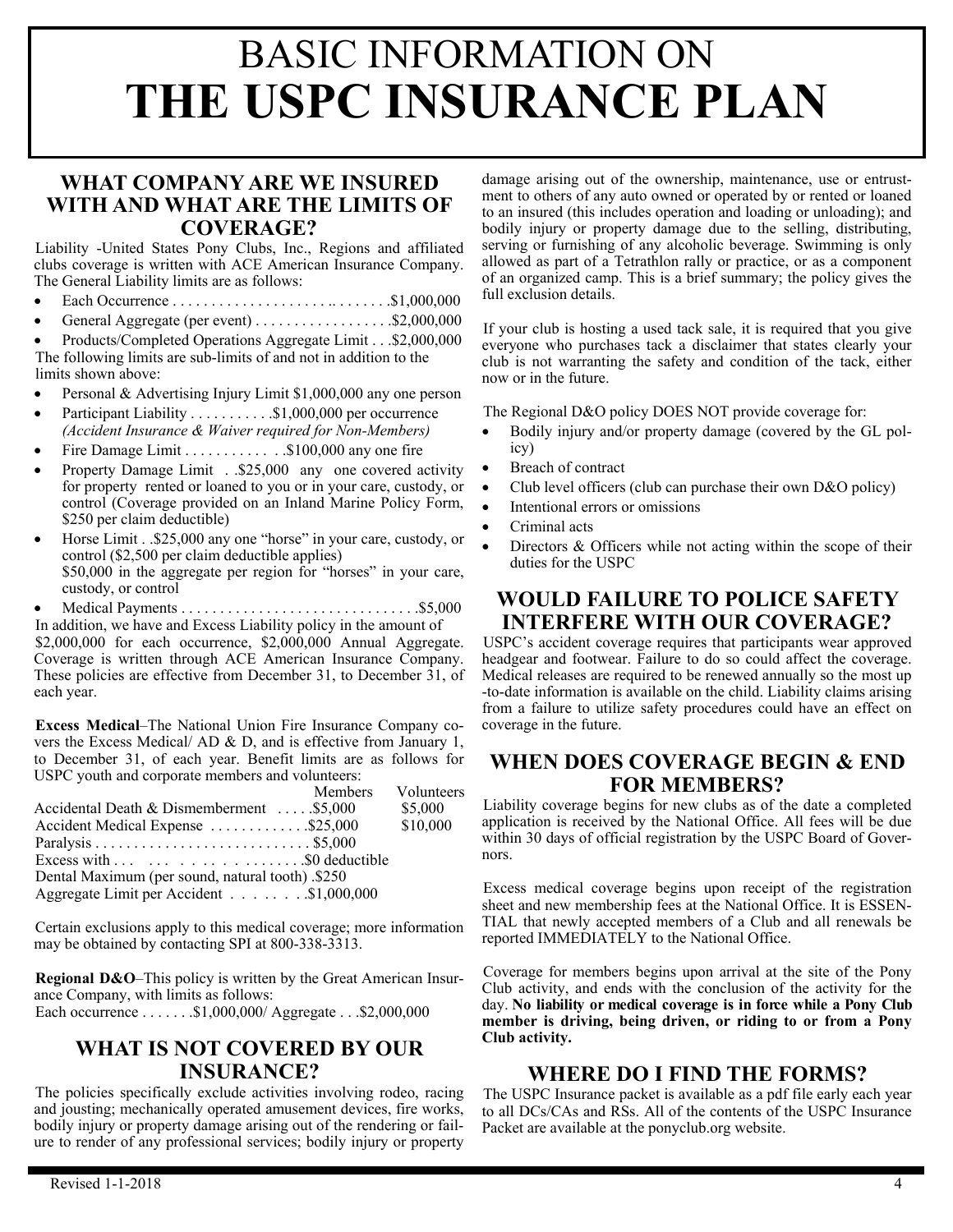#### **WHAT COMPANY ARE WE INSURED WITH AND WHAT ARE THE LIMITS OF COVERAGE?**

Liability -United States Pony Clubs, Inc., Regions and affiliated clubs coverage is written with ACE American Insurance Company. The General Liability limits are as follows:

- Each Occurrence . . . . . . . . . . . . . . . . . . . . .. . . . . . . .\$1,000,000
- General Aggregate (per event) . . . . . . . . . . . . . . . . . . \$2,000,000
- Products/Completed Operations Aggregate Limit . . .\$2,000,000

The following limits are sub-limits of and not in addition to the limits shown above:

- Personal & Advertising Injury Limit \$1,000,000 any one person
- Participant Liability . . . . . . . . . . . \$1,000,000 per occurrence *(Accident Insurance & Waiver required for Non-Members)*
- Fire Damage Limit . . . . . . . . . . . . . \$100,000 any one fire
- Property Damage Limit . .\$25,000 any one covered activity for property rented or loaned to you or in your care, custody, or control (Coverage provided on an Inland Marine Policy Form, \$250 per claim deductible)
- Horse Limit . .\$25,000 any one "horse" in your care, custody, or control (\$2,500 per claim deductible applies) \$50,000 in the aggregate per region for "horses" in your care, custody, or control
- Medical Payments . . . . . . . . . . . . . . . . . . . . . . . . . . . . . . .\$5,000 In addition, we have and Excess Liability policy in the amount of \$2,000,000 for each occurrence, \$2,000,000 Annual Aggregate. Coverage is written through ACE American Insurance Company. These policies are effective from December 31, to December 31, of each year.

**Excess Medical**–The National Union Fire Insurance Company covers the Excess Medical/ AD & D, and is effective from January 1, to December 31, of each year. Benefit limits are as follows for USPC youth and corporate members and volunteers:

|                                                                                                                                                                                                 | Members Volunteers |
|-------------------------------------------------------------------------------------------------------------------------------------------------------------------------------------------------|--------------------|
| Accidental Death & Dismemberment \$5,000                                                                                                                                                        | \$5,000            |
| Accident Medical Expense \$25,000                                                                                                                                                               | \$10,000           |
|                                                                                                                                                                                                 |                    |
| Excess with $\ldots$ $\ldots$ $\ldots$ $\ldots$ $\ldots$ $\ldots$ $\ldots$ $\ldots$ $\ldots$ $\ldots$ $\ldots$ $\ldots$ $\ldots$ $\ldots$ $\ldots$ $\ldots$ $\ldots$ $\ldots$ $\ldots$ $\ldots$ |                    |
| Dental Maximum (per sound, natural tooth) .\$250                                                                                                                                                |                    |
| Aggregate Limit per Accident \$1,000,000                                                                                                                                                        |                    |

Certain exclusions apply to this medical coverage; more information may be obtained by contacting SPI at 800-338-3313.

**Regional D&O**–This policy is written by the Great American Insurance Company, with limits as follows:

Each occurrence . . . . . . .\$1,000,000/ Aggregate . . .\$2,000,000

#### **WHAT IS NOT COVERED BY OUR INSURANCE?**

The policies specifically exclude activities involving rodeo, racing and jousting; mechanically operated amusement devices, fire works, bodily injury or property damage arising out of the rendering or failure to render of any professional services; bodily injury or property

damage arising out of the ownership, maintenance, use or entrustment to others of any auto owned or operated by or rented or loaned to an insured (this includes operation and loading or unloading); and bodily injury or property damage due to the selling, distributing, serving or furnishing of any alcoholic beverage. Swimming is only allowed as part of a Tetrathlon rally or practice, or as a component of an organized camp. This is a brief summary; the policy gives the full exclusion details.

If your club is hosting a used tack sale, it is required that you give everyone who purchases tack a disclaimer that states clearly your club is not warranting the safety and condition of the tack, either now or in the future.

The Regional D&O policy DOES NOT provide coverage for:

- Bodily injury and/or property damage (covered by the GL policy)
- Breach of contract
- Club level officers (club can purchase their own D&O policy)
- Intentional errors or omissions
- Criminal acts
- Directors & Officers while not acting within the scope of their duties for the USPC

#### **WOULD FAILURE TO POLICE SAFETY INTERFERE WITH OUR COVERAGE?**

USPC's accident coverage requires that participants wear approved headgear and footwear. Failure to do so could affect the coverage. Medical releases are required to be renewed annually so the most up -to-date information is available on the child. Liability claims arising from a failure to utilize safety procedures could have an effect on coverage in the future.

#### **WHEN DOES COVERAGE BEGIN & END FOR MEMBERS?**

Liability coverage begins for new clubs as of the date a completed application is received by the National Office. All fees will be due within 30 days of official registration by the USPC Board of Governors.

Excess medical coverage begins upon receipt of the registration sheet and new membership fees at the National Office. It is ESSEN-TIAL that newly accepted members of a Club and all renewals be reported IMMEDIATELY to the National Office.

Coverage for members begins upon arrival at the site of the Pony Club activity, and ends with the conclusion of the activity for the day. **No liability or medical coverage is in force while a Pony Club member is driving, being driven, or riding to or from a Pony Club activity.**

#### **WHERE DO I FIND THE FORMS?**

The USPC Insurance packet is available as a pdf file early each year to all DCs/CAs and RSs. All of the contents of the USPC Insurance Packet are available at the ponyclub.org website.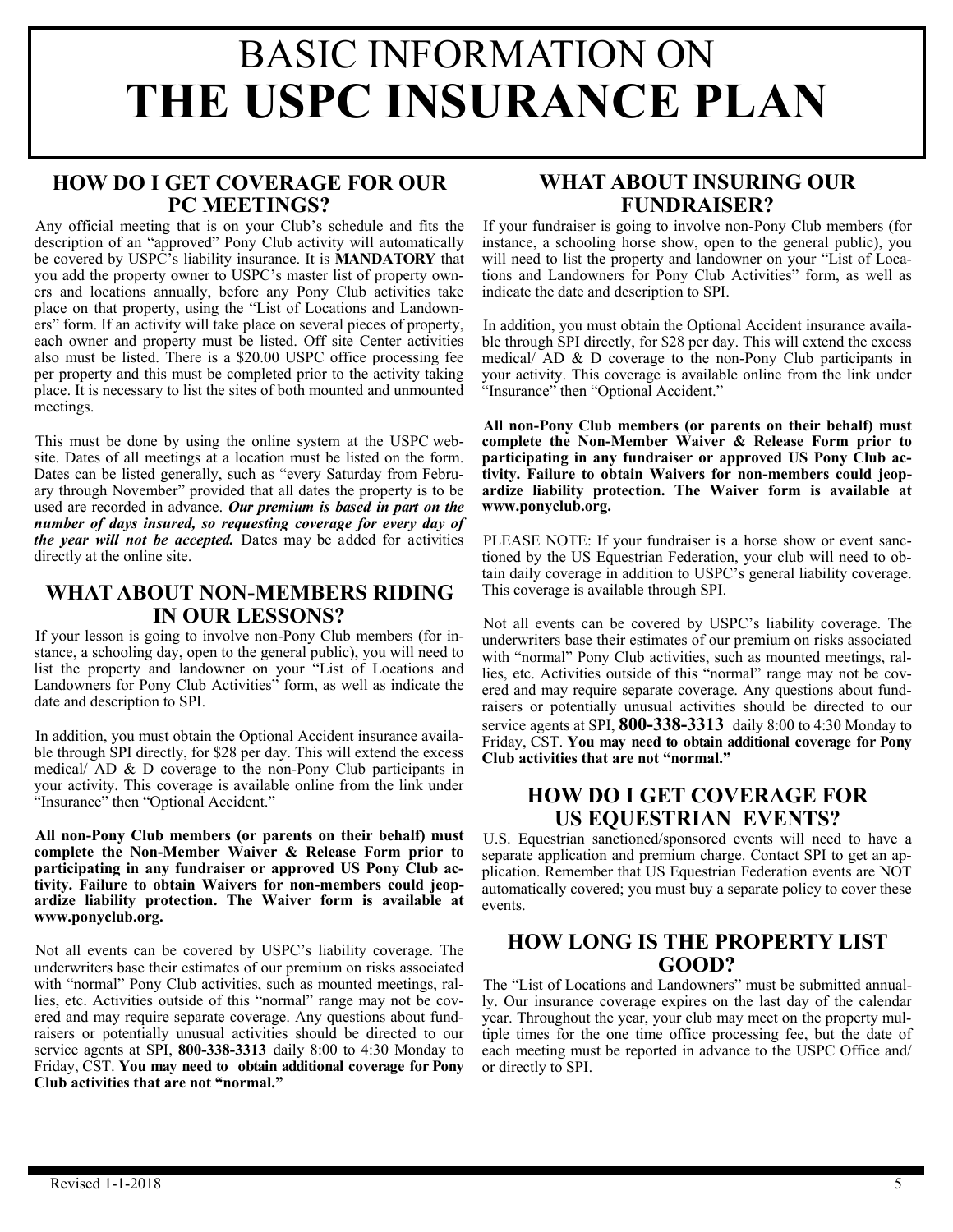### **HOW DO I GET COVERAGE FOR OUR PC MEETINGS?**

Any official meeting that is on your Club's schedule and fits the description of an "approved" Pony Club activity will automatically be covered by USPC's liability insurance. It is **MANDATORY** that you add the property owner to USPC's master list of property owners and locations annually, before any Pony Club activities take place on that property, using the "List of Locations and Landowners" form. If an activity will take place on several pieces of property, each owner and property must be listed. Off site Center activities also must be listed. There is a \$20.00 USPC office processing fee per property and this must be completed prior to the activity taking place. It is necessary to list the sites of both mounted and unmounted meetings.

This must be done by using the online system at the USPC website. Dates of all meetings at a location must be listed on the form. Dates can be listed generally, such as "every Saturday from February through November" provided that all dates the property is to be used are recorded in advance. *Our premium is based in part on the number of days insured, so requesting coverage for every day of the year will not be accepted.* Dates may be added for activities directly at the online site.

### **WHAT ABOUT NON-MEMBERS RIDING IN OUR LESSONS?**

If your lesson is going to involve non-Pony Club members (for instance, a schooling day, open to the general public), you will need to list the property and landowner on your "List of Locations and Landowners for Pony Club Activities" form, as well as indicate the date and description to SPI.

In addition, you must obtain the Optional Accident insurance available through SPI directly, for \$28 per day. This will extend the excess medical/ AD & D coverage to the non-Pony Club participants in your activity. This coverage is available online from the link under "Insurance" then "Optional Accident."

**All non-Pony Club members (or parents on their behalf) must complete the Non-Member Waiver & Release Form prior to participating in any fundraiser or approved US Pony Club activity. Failure to obtain Waivers for non-members could jeopardize liability protection. The Waiver form is available at www.ponyclub.org.**

Not all events can be covered by USPC's liability coverage. The underwriters base their estimates of our premium on risks associated with "normal" Pony Club activities, such as mounted meetings, rallies, etc. Activities outside of this "normal" range may not be covered and may require separate coverage. Any questions about fundraisers or potentially unusual activities should be directed to our service agents at SPI, **800-338-3313** daily 8:00 to 4:30 Monday to Friday, CST. **You may need to obtain additional coverage for Pony Club activities that are not "normal."**

### **WHAT ABOUT INSURING OUR FUNDRAISER?**

If your fundraiser is going to involve non-Pony Club members (for instance, a schooling horse show, open to the general public), you will need to list the property and landowner on your "List of Locations and Landowners for Pony Club Activities" form, as well as indicate the date and description to SPI.

In addition, you must obtain the Optional Accident insurance available through SPI directly, for \$28 per day. This will extend the excess medical/ AD & D coverage to the non-Pony Club participants in your activity. This coverage is available online from the link under "Insurance" then "Optional Accident."

**All non-Pony Club members (or parents on their behalf) must complete the Non-Member Waiver & Release Form prior to participating in any fundraiser or approved US Pony Club activity. Failure to obtain Waivers for non-members could jeopardize liability protection. The Waiver form is available at www.ponyclub.org.** 

PLEASE NOTE: If your fundraiser is a horse show or event sanctioned by the US Equestrian Federation, your club will need to obtain daily coverage in addition to USPC's general liability coverage. This coverage is available through SPI.

Not all events can be covered by USPC's liability coverage. The underwriters base their estimates of our premium on risks associated with "normal" Pony Club activities, such as mounted meetings, rallies, etc. Activities outside of this "normal" range may not be covered and may require separate coverage. Any questions about fundraisers or potentially unusual activities should be directed to our service agents at SPI, **800-338-3313** daily 8:00 to 4:30 Monday to Friday, CST. **You may need to obtain additional coverage for Pony Club activities that are not "normal."**

#### **HOW DO I GET COVERAGE FOR US EQUESTRIAN EVENTS?**

U.S. Equestrian sanctioned/sponsored events will need to have a separate application and premium charge. Contact SPI to get an application. Remember that US Equestrian Federation events are NOT automatically covered; you must buy a separate policy to cover these events.

#### **HOW LONG IS THE PROPERTY LIST GOOD?**

The "List of Locations and Landowners" must be submitted annually. Our insurance coverage expires on the last day of the calendar year. Throughout the year, your club may meet on the property multiple times for the one time office processing fee, but the date of each meeting must be reported in advance to the USPC Office and/ or directly to SPI.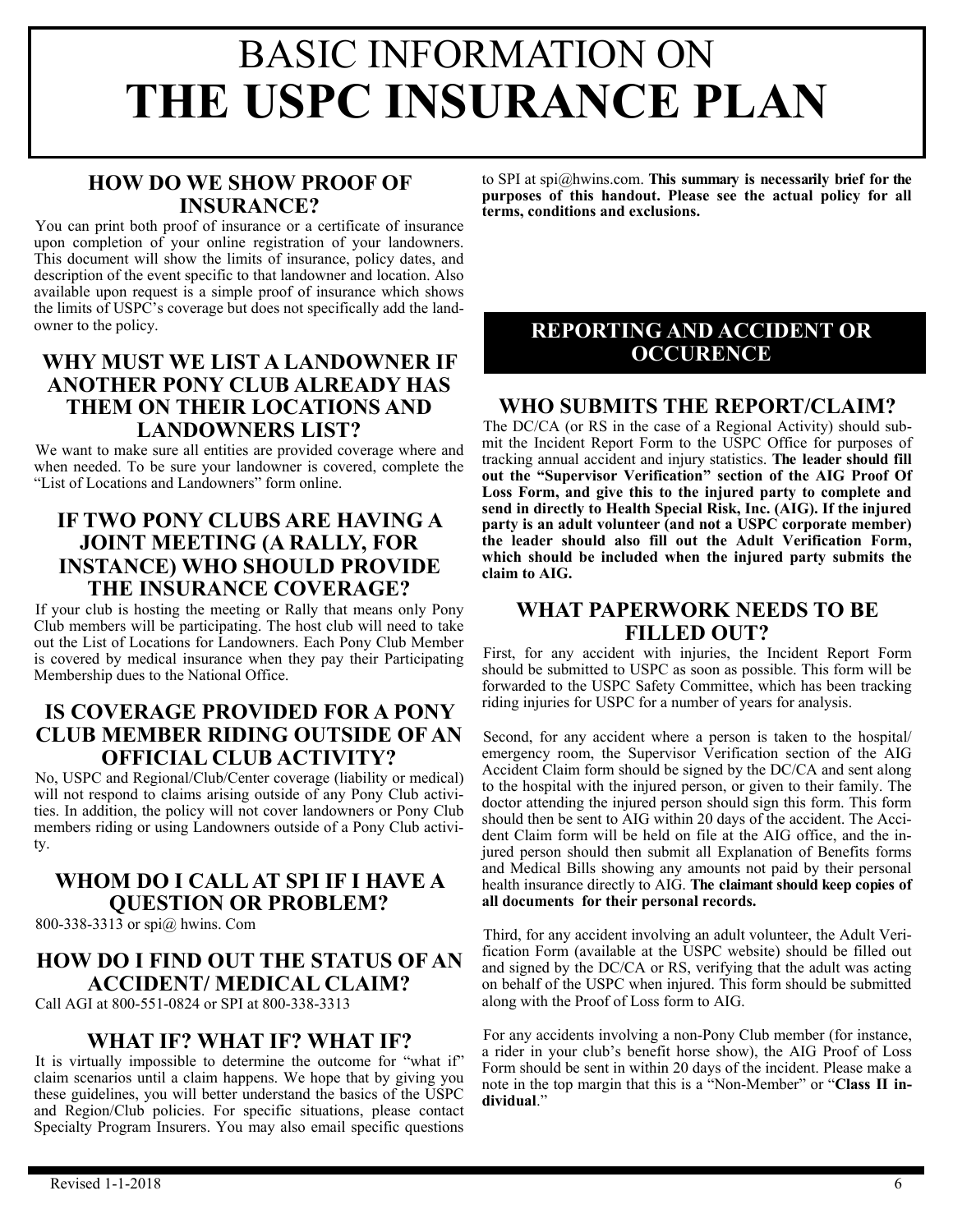## **HOW DO WE SHOW PROOF OF INSURANCE?**

You can print both proof of insurance or a certificate of insurance upon completion of your online registration of your landowners. This document will show the limits of insurance, policy dates, and description of the event specific to that landowner and location. Also available upon request is a simple proof of insurance which shows the limits of USPC's coverage but does not specifically add the landowner to the policy.

#### **WHY MUST WE LIST A LANDOWNER IF ANOTHER PONY CLUB ALREADY HAS THEM ON THEIR LOCATIONS AND LANDOWNERS LIST?**

We want to make sure all entities are provided coverage where and when needed. To be sure your landowner is covered, complete the "List of Locations and Landowners" form online.

#### **IF TWO PONY CLUBS ARE HAVING A JOINT MEETING (A RALLY, FOR INSTANCE) WHO SHOULD PROVIDE THE INSURANCE COVERAGE?**

If your club is hosting the meeting or Rally that means only Pony Club members will be participating. The host club will need to take out the List of Locations for Landowners. Each Pony Club Member is covered by medical insurance when they pay their Participating Membership dues to the National Office.

#### **IS COVERAGE PROVIDED FOR A PONY CLUB MEMBER RIDING OUTSIDE OF AN OFFICIAL CLUB ACTIVITY?**

No, USPC and Regional/Club/Center coverage (liability or medical) will not respond to claims arising outside of any Pony Club activities. In addition, the policy will not cover landowners or Pony Club members riding or using Landowners outside of a Pony Club activity.

## **WHOM DO I CALL AT SPI IF I HAVE A QUESTION OR PROBLEM?**

800-338-3313 or spi@ hwins. Com

#### **HOW DO I FIND OUT THE STATUS OF AN ACCIDENT/ MEDICAL CLAIM?**

Call AGI at 800-551-0824 or SPI at 800-338-3313

### **WHAT IF? WHAT IF? WHAT IF?**

It is virtually impossible to determine the outcome for "what if" claim scenarios until a claim happens. We hope that by giving you these guidelines, you will better understand the basics of the USPC and Region/Club policies. For specific situations, please contact Specialty Program Insurers. You may also email specific questions

to SPI at spi@hwins.com. **This summary is necessarily brief for the purposes of this handout. Please see the actual policy for all terms, conditions and exclusions.**

#### **REPORTING AND ACCIDENT OR OCCURENCE**

#### **WHO SUBMITS THE REPORT/CLAIM?**

The DC/CA (or RS in the case of a Regional Activity) should submit the Incident Report Form to the USPC Office for purposes of tracking annual accident and injury statistics. **The leader should fill out the "Supervisor Verification" section of the AIG Proof Of Loss Form, and give this to the injured party to complete and send in directly to Health Special Risk, Inc. (AIG). If the injured party is an adult volunteer (and not a USPC corporate member) the leader should also fill out the Adult Verification Form, which should be included when the injured party submits the claim to AIG.**

### **WHAT PAPERWORK NEEDS TO BE FILLED OUT?**

First, for any accident with injuries, the Incident Report Form should be submitted to USPC as soon as possible. This form will be forwarded to the USPC Safety Committee, which has been tracking riding injuries for USPC for a number of years for analysis.

Second, for any accident where a person is taken to the hospital/ emergency room, the Supervisor Verification section of the AIG Accident Claim form should be signed by the DC/CA and sent along to the hospital with the injured person, or given to their family. The doctor attending the injured person should sign this form. This form should then be sent to AIG within 20 days of the accident. The Accident Claim form will be held on file at the AIG office, and the injured person should then submit all Explanation of Benefits forms and Medical Bills showing any amounts not paid by their personal health insurance directly to AIG. **The claimant should keep copies of all documents for their personal records.**

Third, for any accident involving an adult volunteer, the Adult Verification Form (available at the USPC website) should be filled out and signed by the DC/CA or RS, verifying that the adult was acting on behalf of the USPC when injured. This form should be submitted along with the Proof of Loss form to AIG.

For any accidents involving a non-Pony Club member (for instance, a rider in your club's benefit horse show), the AIG Proof of Loss Form should be sent in within 20 days of the incident. Please make a note in the top margin that this is a "Non-Member" or "**Class II individual**."